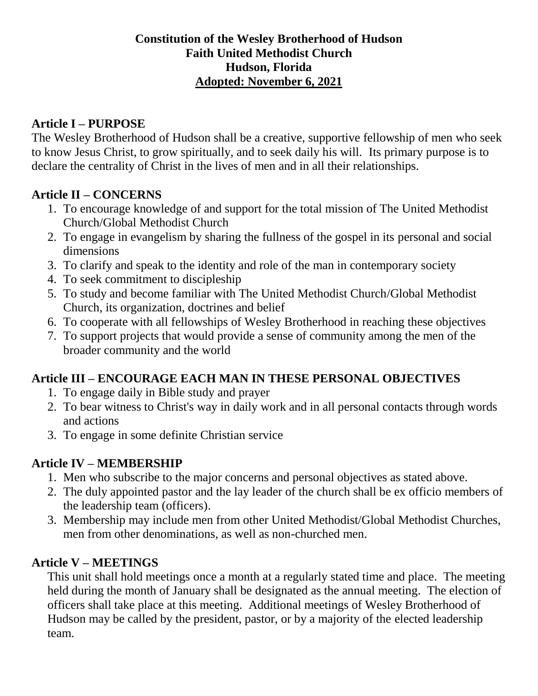## **Constitution of the Wesley Brotherhood of Hudson Faith United Methodist Church Hudson, Florida Adopted: November 6, 2021**

### **Article I – PURPOSE**

The Wesley Brotherhood of Hudson shall be a creative, supportive fellowship of men who seek to know Jesus Christ, to grow spiritually, and to seek daily his will. Its primary purpose is to declare the centrality of Christ in the lives of men and in all their relationships.

## **Article II – CONCERNS**

- 1. To encourage knowledge of and support for the total mission of The United Methodist Church/Global Methodist Church
- 2. To engage in evangelism by sharing the fullness of the gospel in its personal and social dimensions
- 3. To clarify and speak to the identity and role of the man in contemporary society
- 4. To seek commitment to discipleship
- 5. To study and become familiar with The United Methodist Church/Global Methodist Church, its organization, doctrines and belief
- 6. To cooperate with all fellowships of Wesley Brotherhood in reaching these objectives
- 7. To support projects that would provide a sense of community among the men of the broader community and the world

# **Article III – ENCOURAGE EACH MAN IN THESE PERSONAL OBJECTIVES**

- 1. To engage daily in Bible study and prayer
- 2. To bear witness to Christ's way in daily work and in all personal contacts through words and actions
- 3. To engage in some definite Christian service

# **Article IV – MEMBERSHIP**

- 1. Men who subscribe to the major concerns and personal objectives as stated above.
- 2. The duly appointed pastor and the lay leader of the church shall be ex officio members of the leadership team (officers).
- 3. Membership may include men from other United Methodist/Global Methodist Churches, men from other denominations, as well as non-churched men.

# **Article V – MEETINGS**

This unit shall hold meetings once a month at a regularly stated time and place. The meeting held during the month of January shall be designated as the annual meeting. The election of officers shall take place at this meeting. Additional meetings of Wesley Brotherhood of Hudson may be called by the president, pastor, or by a majority of the elected leadership team.